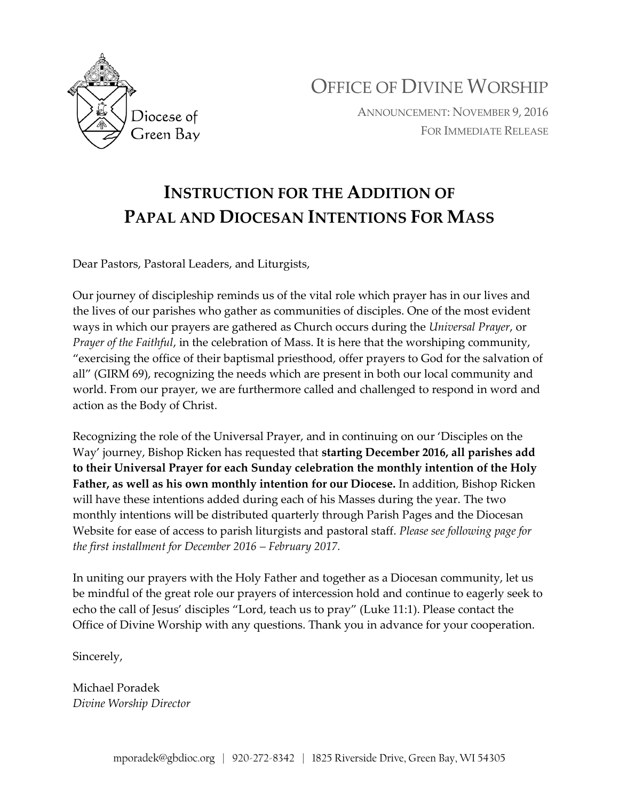

OFFICE OF DIVINE WORSHIP

ANNOUNCEMENT: NOVEMBER 9, 2016 FOR IMMEDIATE RELEASE

# **INSTRUCTION FOR THE ADDITION OF PAPAL AND DIOCESAN INTENTIONS FOR MASS**

Dear Pastors, Pastoral Leaders, and Liturgists,

Our journey of discipleship reminds us of the vital role which prayer has in our lives and the lives of our parishes who gather as communities of disciples. One of the most evident ways in which our prayers are gathered as Church occurs during the *Universal Prayer*, or *Prayer of the Faithful*, in the celebration of Mass. It is here that the worshiping community, "exercising the office of their baptismal priesthood, offer prayers to God for the salvation of all" (GIRM 69), recognizing the needs which are present in both our local community and world. From our prayer, we are furthermore called and challenged to respond in word and action as the Body of Christ.

Recognizing the role of the Universal Prayer, and in continuing on our 'Disciples on the Way' journey, Bishop Ricken has requested that **starting December 2016, all parishes add to their Universal Prayer for each Sunday celebration the monthly intention of the Holy Father, as well as his own monthly intention for our Diocese.** In addition, Bishop Ricken will have these intentions added during each of his Masses during the year. The two monthly intentions will be distributed quarterly through Parish Pages and the Diocesan Website for ease of access to parish liturgists and pastoral staff. *Please see following page for the first installment for December 2016 – February 2017.*

In uniting our prayers with the Holy Father and together as a Diocesan community, let us be mindful of the great role our prayers of intercession hold and continue to eagerly seek to echo the call of Jesus' disciples "Lord, teach us to pray" (Luke 11:1). Please contact the Office of Divine Worship with any questions. Thank you in advance for your cooperation.

Sincerely,

Michael Poradek *Divine Worship Director*